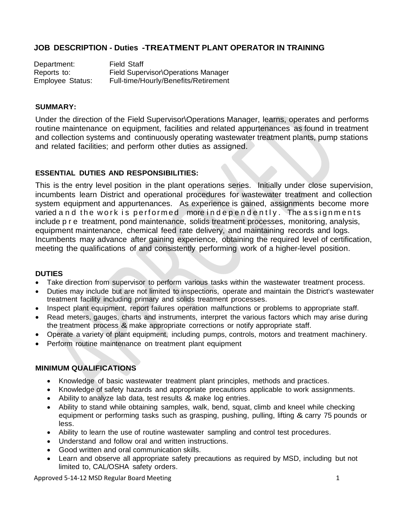# **JOB DESCRIPTION - Duties -TREATMENT PLANT OPERATOR IN TRAINING**

Department: Reports to: Employee Status: Field Staff Field Supervisor\Operations Manager Full-time/Hourly/Benefits/Retirement

#### **SUMMARY:**

Under the direction of the Field Supervisor\Operations Manager, learns, operates and performs routine maintenance on equipment, facilities and related appurtenances as found in treatment and collection systems and continuously operating wastewater treatment plants, pump stations and related facilities; and perform other duties as assigned.

## **ESSENTIAL DUTIES AND RESPONSIBILITIES:**

This is the entry level position in the plant operations series. Initially under close supervision, incumbents learn District and operational procedures for wastewater treatment and collection system equipment and appurtenances. As experience is gained, assignments become more varied and the work is performed more independently. The assignments include pre treatment, pond maintenance, solids treatment processes, monitoring, analysis, equipment maintenance, chemical feed rate delivery, and maintaining records and logs. Incumbents may advance after gaining experience, obtaining the required level of certification, meeting the qualifications of and consistently performing work of a higher-level position.

#### **DUTIES**

- Take direction from supervisor to perform various tasks within the wastewater treatment process.
- Duties may include but are not limited to inspections, operate and maintain the District's wastewater treatment facility including primary and solids treatment processes.
- Inspect plant equipment, report failures operation malfunctions or problems to appropriate staff.
- Read meters, gauges, charts and instruments, interpret the various factors which may arise during the treatment process & make appropriate corrections or notify appropriate staff.
- Operate a variety of plant equipment, including pumps, controls, motors and treatment machinery.
- Perform routine maintenance on treatment plant equipment

## **MINIMUM QUALIFICATIONS**

- Knowledge of basic wastewater treatment plant principles, methods and practices.
- Knowledge of safety hazards and appropriate precautions applicable to work assignments.
- Ability to analyze lab data, test results & make log entries.
- Ability to stand while obtaining samples, walk, bend, squat, climb and kneel while checking equipment or performing tasks such as grasping, pushing, pulling, lifting & carry 75 pounds or less.
- Ability to learn the use of routine wastewater sampling and control test procedures.
- Understand and follow oral and written instructions.
- Good written and oral communication skills.
- Learn and observe all appropriate safety precautions as required by MSD, including but not limited to, CAL/OSHA safety orders.

Approved 5-14-12 MSD Regular Board Meeting 1 and 1 and 1 and 1 and 1 and 1 and 1 and 1 and 1 and 1 and 1 and 1 and 1 and 1 and 1 and 1 and 1 and 1 and 1 and 1 and 1 and 1 and 1 and 1 and 1 and 1 and 1 and 1 and 1 and 1 and